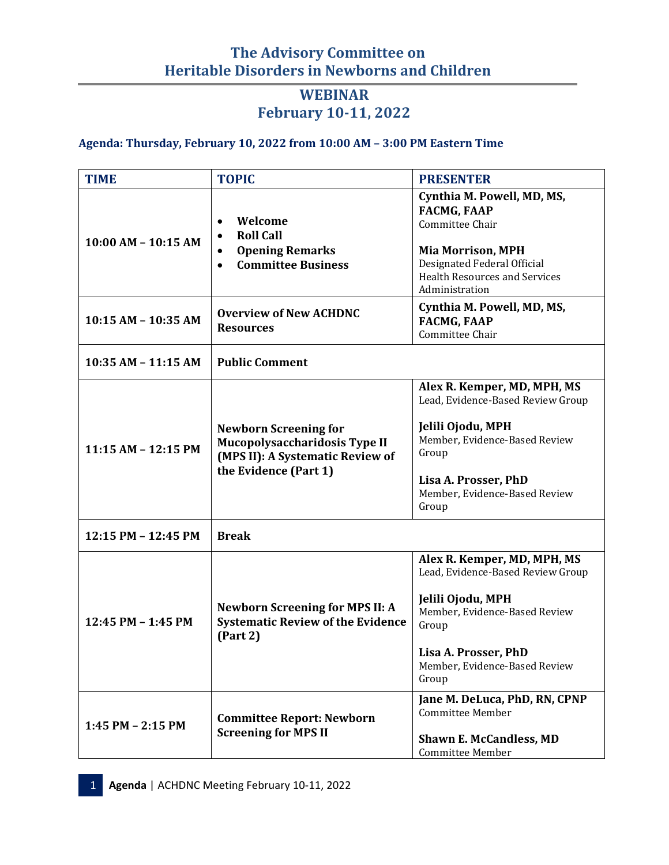# **The Advisory Committee on Heritable Disorders in Newborns and Children**

## **WEBINAR February 10-11, 2022**

#### **Agenda: Thursday, February 10, 2022 from 10:00 AM – 3:00 PM Eastern Time**

| <b>TIME</b>             | <b>TOPIC</b>                                                                                                               | <b>PRESENTER</b>                                                                                                                                                                                  |
|-------------------------|----------------------------------------------------------------------------------------------------------------------------|---------------------------------------------------------------------------------------------------------------------------------------------------------------------------------------------------|
| $10:00$ AM - $10:15$ AM | Welcome<br><b>Roll Call</b><br>$\bullet$<br><b>Opening Remarks</b><br>$\bullet$<br><b>Committee Business</b><br>$\bullet$  | Cynthia M. Powell, MD, MS,<br><b>FACMG, FAAP</b><br>Committee Chair<br><b>Mia Morrison, MPH</b><br>Designated Federal Official<br><b>Health Resources and Services</b><br>Administration          |
| 10:15 AM - 10:35 AM     | <b>Overview of New ACHDNC</b><br><b>Resources</b>                                                                          | Cynthia M. Powell, MD, MS,<br><b>FACMG, FAAP</b><br>Committee Chair                                                                                                                               |
| 10:35 AM - 11:15 AM     | <b>Public Comment</b>                                                                                                      |                                                                                                                                                                                                   |
| 11:15 AM - 12:15 PM     | <b>Newborn Screening for</b><br>Mucopolysaccharidosis Type II<br>(MPS II): A Systematic Review of<br>the Evidence (Part 1) | Alex R. Kemper, MD, MPH, MS<br>Lead, Evidence-Based Review Group<br>Jelili Ojodu, MPH<br>Member, Evidence-Based Review<br>Group<br>Lisa A. Prosser, PhD<br>Member, Evidence-Based Review<br>Group |
| 12:15 PM - 12:45 PM     | <b>Break</b>                                                                                                               |                                                                                                                                                                                                   |
| 12:45 PM - 1:45 PM      | <b>Newborn Screening for MPS II: A</b><br><b>Systematic Review of the Evidence</b><br>(Part 2)                             | Alex R. Kemper, MD, MPH, MS<br>Lead, Evidence-Based Review Group<br>Jelili Ojodu, MPH<br>Member, Evidence-Based Review<br>Group<br>Lisa A. Prosser, PhD<br>Member, Evidence-Based Review<br>Group |
| 1:45 PM $-$ 2:15 PM     | <b>Committee Report: Newborn</b><br><b>Screening for MPS II</b>                                                            | Jane M. DeLuca, PhD, RN, CPNP<br><b>Committee Member</b><br><b>Shawn E. McCandless, MD</b><br>Committee Member                                                                                    |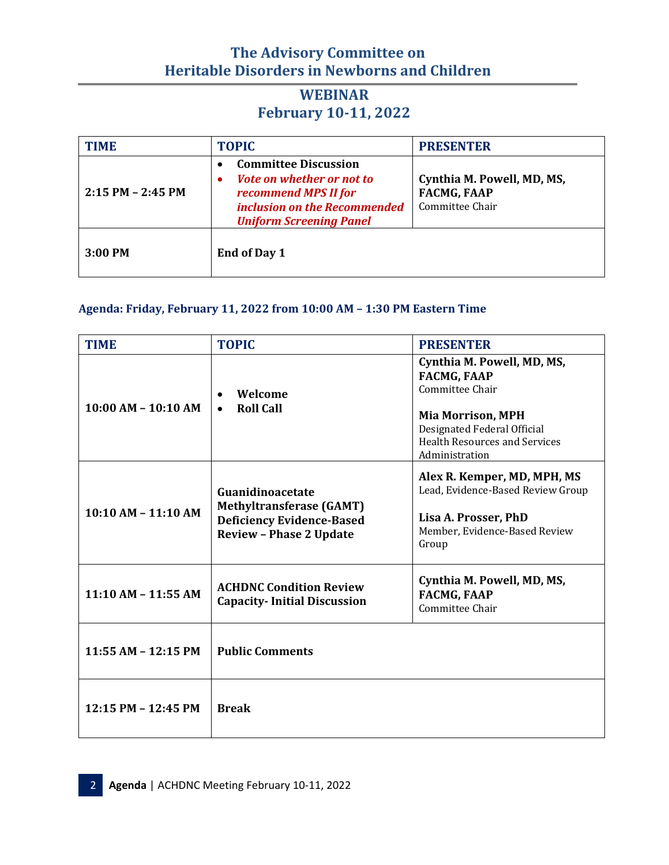# **The Advisory Committee on Heritable Disorders in Newborns and Children**

## **WEBINAR February 10-11, 2022**

| <b>TIME</b>           | <b>TOPIC</b>                                                                                                                                            | <b>PRESENTER</b>                                                    |
|-----------------------|---------------------------------------------------------------------------------------------------------------------------------------------------------|---------------------------------------------------------------------|
| $2:15$ PM $- 2:45$ PM | <b>Committee Discussion</b><br>Vote on whether or not to<br>٠<br>recommend MPS II for<br>inclusion on the Recommended<br><b>Uniform Screening Panel</b> | Cynthia M. Powell, MD, MS,<br><b>FACMG, FAAP</b><br>Committee Chair |
| $3:00$ PM             | End of Day 1                                                                                                                                            |                                                                     |

#### **Agenda: Friday, February 11, 2022 from 10:00 AM – 1:30 PM Eastern Time**

| <b>TIME</b>             | <b>TOPIC</b>                                                                                                              | <b>PRESENTER</b>                                                                                                                                                                         |
|-------------------------|---------------------------------------------------------------------------------------------------------------------------|------------------------------------------------------------------------------------------------------------------------------------------------------------------------------------------|
| $10:00$ AM $- 10:10$ AM | Welcome<br><b>Roll Call</b><br>$\bullet$                                                                                  | Cynthia M. Powell, MD, MS,<br><b>FACMG, FAAP</b><br>Committee Chair<br><b>Mia Morrison, MPH</b><br>Designated Federal Official<br><b>Health Resources and Services</b><br>Administration |
| $10:10 AM - 11:10 AM$   | Guanidinoacetate<br><b>Methyltransferase (GAMT)</b><br><b>Deficiency Evidence-Based</b><br><b>Review - Phase 2 Update</b> | Alex R. Kemper, MD, MPH, MS<br>Lead, Evidence-Based Review Group<br>Lisa A. Prosser, PhD<br>Member, Evidence-Based Review<br>Group                                                       |
| $11:10$ AM - $11:55$ AM | <b>ACHDNC Condition Review</b><br><b>Capacity-Initial Discussion</b>                                                      | Cynthia M. Powell, MD, MS,<br><b>FACMG, FAAP</b><br>Committee Chair                                                                                                                      |
| $11:55$ AM - $12:15$ PM | <b>Public Comments</b>                                                                                                    |                                                                                                                                                                                          |
| 12:15 PM - 12:45 PM     | <b>Break</b>                                                                                                              |                                                                                                                                                                                          |